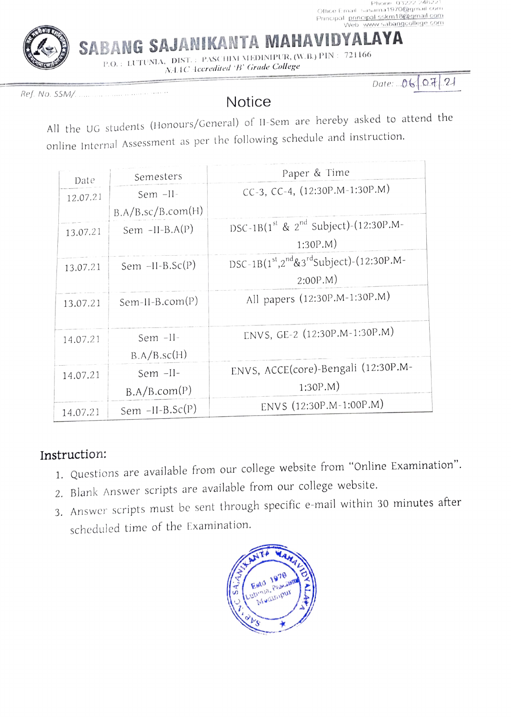

SABANG SAJANIKANTA MAHAVIDYALAYA

P.O.: LUTUNIA, DIST.: PASCHIM MEDINIPUR, (W.B.) PIN: 721166 NI1C 1ceredited B' Grade College

Ref. No. SM/.

Date:  $060721$ 

## **Notice**

All the UG students (Honours/General) of I1-Sem are hereby asked to attend the online Internal Assessment as per the following schedule and instruction.

| Date     | Semesters         | Paper & Time                                               |
|----------|-------------------|------------------------------------------------------------|
| 12.07.21 | Sem -II-          | CC-3, CC-4, (12:30P.M-1:30P.M)                             |
|          | B.A/B.sc/B.com(H) |                                                            |
| 13.07.21 | Sem $-II-B.A(P)$  | DSC-1B(1st & 2 <sup>nd</sup> Subject)-(12:30P.M-           |
|          |                   | $1:30P.M$ )                                                |
| 13.07.21 | Sem $-II-B.Sc(P)$ | DSC-1B( $1^{st}$ , $2^{nd}$ & $3^{rd}$ Subject)-(12:30P.M- |
|          |                   | $2:00P.M$ )                                                |
| 13.07.21 | $Sem-II-B.com(P)$ | All papers (12:30P.M-1:30P.M)                              |
|          |                   |                                                            |
| 14.07.21 | Sem -II-          | ENVS, GE-2 (12:30P.M-1:30P.M)                              |
|          | B.A/B.sc(H)       |                                                            |
| 14.07.21 | Sem -II-          | ENVS, ACCE(core)-Bengali (12:30P.M-                        |
|          | B.A/B.com(P)      | 1:30P.M                                                    |
| 14.07.21 | Sem $-II-B.Sc(P)$ | ENVS (12:30P.M-1:00P.M)                                    |
|          |                   |                                                            |

## Instruction:

- 1. Questions are available from our college website from "Online Examination".
- 2. Blank Answer scripts are available from our college website.
- 3. Answer scripts must be sent through specific e-mail within 30 minutes after scheduled time of the Examination.